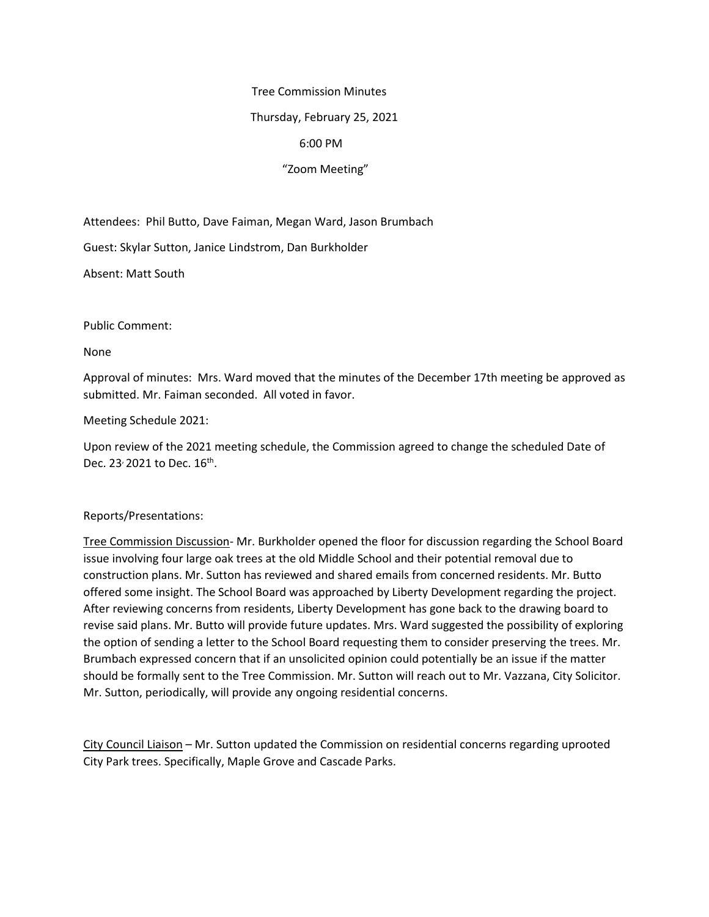#### Tree Commission Minutes

### Thursday, February 25, 2021

## 6:00 PM

# "Zoom Meeting"

Attendees: Phil Butto, Dave Faiman, Megan Ward, Jason Brumbach

Guest: Skylar Sutton, Janice Lindstrom, Dan Burkholder

Absent: Matt South

Public Comment:

None

Approval of minutes: Mrs. Ward moved that the minutes of the December 17th meeting be approved as submitted. Mr. Faiman seconded. All voted in favor.

Meeting Schedule 2021:

Upon review of the 2021 meeting schedule, the Commission agreed to change the scheduled Date of Dec. 23<sup>,</sup> 2021 to Dec.  $16^{th}$ .

### Reports/Presentations:

Tree Commission Discussion- Mr. Burkholder opened the floor for discussion regarding the School Board issue involving four large oak trees at the old Middle School and their potential removal due to construction plans. Mr. Sutton has reviewed and shared emails from concerned residents. Mr. Butto offered some insight. The School Board was approached by Liberty Development regarding the project. After reviewing concerns from residents, Liberty Development has gone back to the drawing board to revise said plans. Mr. Butto will provide future updates. Mrs. Ward suggested the possibility of exploring the option of sending a letter to the School Board requesting them to consider preserving the trees. Mr. Brumbach expressed concern that if an unsolicited opinion could potentially be an issue if the matter should be formally sent to the Tree Commission. Mr. Sutton will reach out to Mr. Vazzana, City Solicitor. Mr. Sutton, periodically, will provide any ongoing residential concerns.

City Council Liaison – Mr. Sutton updated the Commission on residential concerns regarding uprooted City Park trees. Specifically, Maple Grove and Cascade Parks.